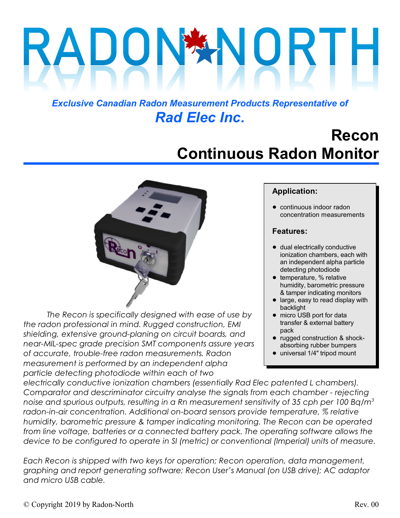# DON

## *Exclusive Canadian Radon Measurement Products Representative of Rad Elec Inc.*

## **Recon Continuous Radon Monitor**



*The Recon is specifically designed with ease of use by the radon professional in mind. Rugged construction, EMI shielding, extensive ground-planing on circuit boards, and near-MIL-spec grade precision SMT components assure years of accurate, trouble-free radon measurements. Radon measurement is performed by an independent alpha particle detecting photodiode within each of two*

#### **Application:**

• continuous indoor radon concentration measurements

#### **Features:**

- $\bullet$  dual electrically conductive ionization chambers, each with an independent alpha particle detecting photodiode
- **•** temperature, % relative humidity, barometric pressure & tamper indicating monitors
- large, easy to read display with backlight
- micro USB port for data transfer & external battery pack
- rugged construction & shockabsorbing rubber bumpers
- universal 1/4" tripod mount

*electrically conductive ionization chambers (essentially Rad Elec patented L chambers). Comparator and descriminator circuitry analyse the signals from each chamber - rejecting noise and spurious outputs, resulting in a Rn measurement sensitivity of 35 cph per 100 Bq/m<sup>3</sup> radon-in-air concentration. Additional on-board sensors provide temperature, % relative humidity, barometric pressure & tamper indicating monitoring. The Recon can be operated from line voltage, batteries or a connected battery pack. The operating software allows the device to be configured to operate in SI (metric) or conventional (Imperial) units of measure.*

*Each Recon is shipped with two keys for operation; Recon operation, data management, graphing and report generating software; Recon User's Manual (on USB drive); AC adaptor and micro USB cable.*